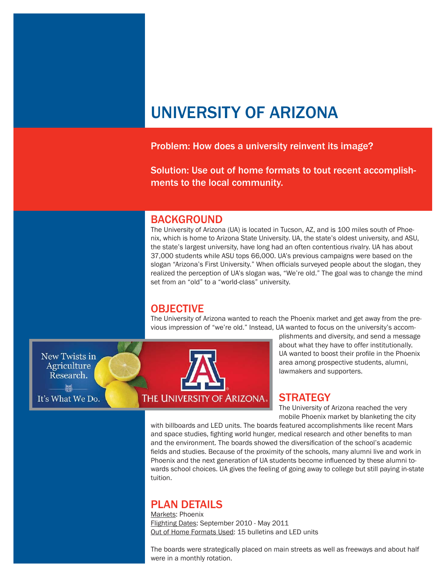# UNIVERSITY OF ARIZONA

#### Problem: How does a university reinvent its image?

Solution: Use out of home formats to tout recent accomplishments to the local community.

#### BACKGROUND

The University of Arizona (UA) is located in Tucson, AZ, and is 100 miles south of Phoenix, which is home to Arizona State University. UA, the state's oldest university, and ASU, the state's largest university, have long had an often contentious rivalry. UA has about 37,000 students while ASU tops 66,000. UA's previous campaigns were based on the slogan "Arizona's First University." When officials surveyed people about the slogan, they realized the perception of UA's slogan was, "We're old." The goal was to change the mind set from an "old" to a "world-class" university.

### **OBJECTIVE**

The University of Arizona wanted to reach the Phoenix market and get away from the previous impression of "we're old." Instead, UA wanted to focus on the university's accom-

**New Twists in Agriculture** Research. **解** 

It's What We Do.



plishments and diversity, and send a message about what they have to offer institutionally. UA wanted to boost their profile in the Phoenix area among prospective students, alumni, lawmakers and supporters.

#### **STRATEGY**

The University of Arizona reached the very mobile Phoenix market by blanketing the city

with billboards and LED units. The boards featured accomplishments like recent Mars and space studies, fighting world hunger, medical research and other benefits to man and the environment. The boards showed the diversification of the school's academic fields and studies. Because of the proximity of the schools, many alumni live and work in Phoenix and the next generation of UA students become influenced by these alumni towards school choices. UA gives the feeling of going away to college but still paying in-state tuition.

## PLAN DETAILS

Markets: Phoenix Flighting Dates: September 2010 - May 2011 Out of Home Formats Used: 15 bulletins and LED units

The boards were strategically placed on main streets as well as freeways and about half were in a monthly rotation.